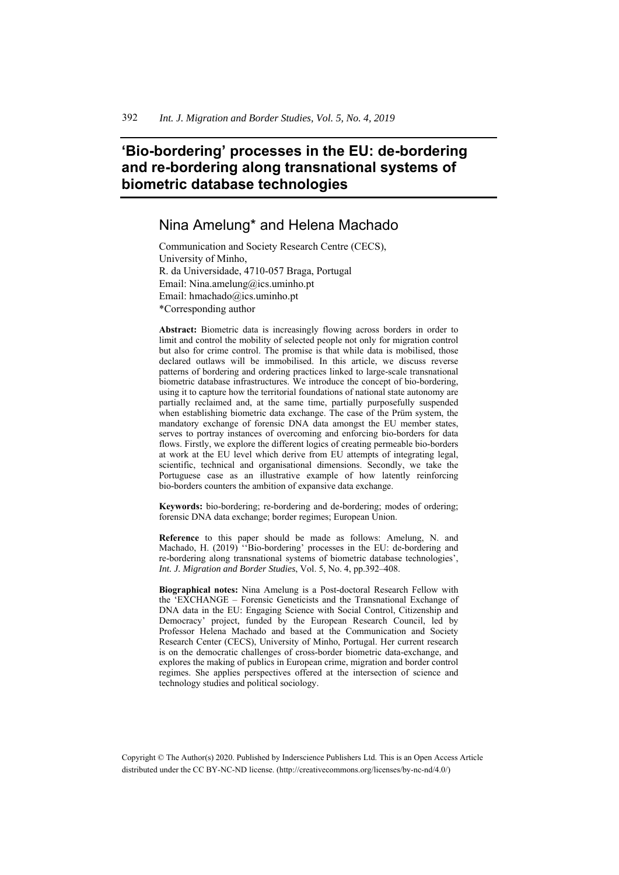# **'Bio-bordering' processes in the EU: de-bordering and re-bordering along transnational systems of biometric database technologies**

## Nina Amelung\* and Helena Machado

Communication and Society Research Centre (CECS), University of Minho, R. da Universidade, 4710-057 Braga, Portugal Email: Nina.amelung@ics.uminho.pt Email: hmachado@ics.uminho.pt \*Corresponding author

**Abstract:** Biometric data is increasingly flowing across borders in order to limit and control the mobility of selected people not only for migration control but also for crime control. The promise is that while data is mobilised, those declared outlaws will be immobilised. In this article, we discuss reverse patterns of bordering and ordering practices linked to large-scale transnational biometric database infrastructures. We introduce the concept of bio-bordering, using it to capture how the territorial foundations of national state autonomy are partially reclaimed and, at the same time, partially purposefully suspended when establishing biometric data exchange. The case of the Prüm system, the mandatory exchange of forensic DNA data amongst the EU member states, serves to portray instances of overcoming and enforcing bio-borders for data flows. Firstly, we explore the different logics of creating permeable bio-borders at work at the EU level which derive from EU attempts of integrating legal, scientific, technical and organisational dimensions. Secondly, we take the Portuguese case as an illustrative example of how latently reinforcing bio-borders counters the ambition of expansive data exchange.

**Keywords:** bio-bordering; re-bordering and de-bordering; modes of ordering; forensic DNA data exchange; border regimes; European Union.

**Reference** to this paper should be made as follows: Amelung, N. and Machado, H. (2019) ''Bio-bordering' processes in the EU: de-bordering and re-bordering along transnational systems of biometric database technologies', *Int. J. Migration and Border Studies*, Vol. 5, No. 4, pp.392–408.

**Biographical notes:** Nina Amelung is a Post-doctoral Research Fellow with the 'EXCHANGE – Forensic Geneticists and the Transnational Exchange of DNA data in the EU: Engaging Science with Social Control, Citizenship and Democracy' project, funded by the European Research Council, led by Professor Helena Machado and based at the Communication and Society Research Center (CECS), University of Minho, Portugal. Her current research is on the democratic challenges of cross-border biometric data-exchange, and explores the making of publics in European crime, migration and border control regimes. She applies perspectives offered at the intersection of science and technology studies and political sociology.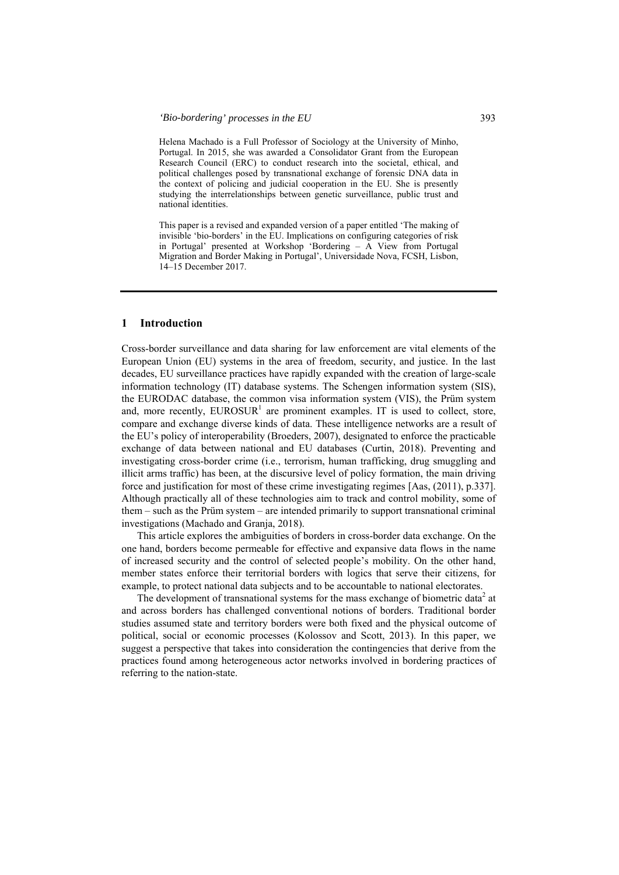Helena Machado is a Full Professor of Sociology at the University of Minho, Portugal. In 2015, she was awarded a Consolidator Grant from the European Research Council (ERC) to conduct research into the societal, ethical, and political challenges posed by transnational exchange of forensic DNA data in the context of policing and judicial cooperation in the EU. She is presently studying the interrelationships between genetic surveillance, public trust and national identities.

This paper is a revised and expanded version of a paper entitled 'The making of invisible 'bio-borders' in the EU. Implications on configuring categories of risk in Portugal' presented at Workshop 'Bordering – A View from Portugal Migration and Border Making in Portugal', Universidade Nova, FCSH, Lisbon, 14–15 December 2017.

## **1 Introduction**

Cross-border surveillance and data sharing for law enforcement are vital elements of the European Union (EU) systems in the area of freedom, security, and justice. In the last decades, EU surveillance practices have rapidly expanded with the creation of large-scale information technology (IT) database systems. The Schengen information system (SIS), the EURODAC database, the common visa information system (VIS), the Prüm system and, more recently,  $EUROSUR<sup>1</sup>$  are prominent examples. IT is used to collect, store, compare and exchange diverse kinds of data. These intelligence networks are a result of the EU's policy of interoperability (Broeders, 2007), designated to enforce the practicable exchange of data between national and EU databases (Curtin, 2018). Preventing and investigating cross-border crime (i.e., terrorism, human trafficking, drug smuggling and illicit arms traffic) has been, at the discursive level of policy formation, the main driving force and justification for most of these crime investigating regimes [Aas, (2011), p.337]. Although practically all of these technologies aim to track and control mobility, some of them – such as the Prüm system – are intended primarily to support transnational criminal investigations (Machado and Granja, 2018).

This article explores the ambiguities of borders in cross-border data exchange. On the one hand, borders become permeable for effective and expansive data flows in the name of increased security and the control of selected people's mobility. On the other hand, member states enforce their territorial borders with logics that serve their citizens, for example, to protect national data subjects and to be accountable to national electorates.

The development of transnational systems for the mass exchange of biometric data<sup>2</sup> at and across borders has challenged conventional notions of borders. Traditional border studies assumed state and territory borders were both fixed and the physical outcome of political, social or economic processes (Kolossov and Scott, 2013). In this paper, we suggest a perspective that takes into consideration the contingencies that derive from the practices found among heterogeneous actor networks involved in bordering practices of referring to the nation-state.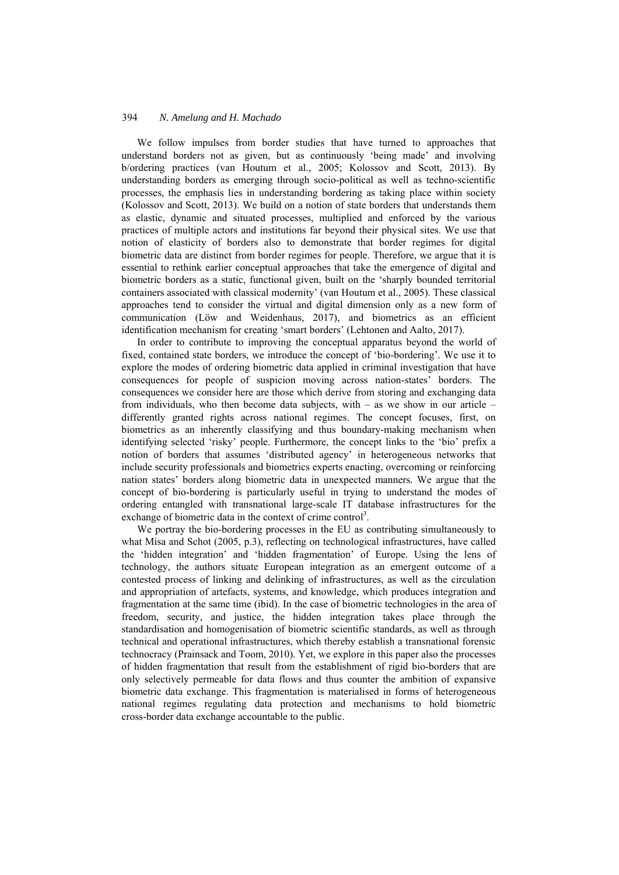We follow impulses from border studies that have turned to approaches that understand borders not as given, but as continuously 'being made' and involving b/ordering practices (van Houtum et al., 2005; Kolossov and Scott, 2013). By understanding borders as emerging through socio-political as well as techno-scientific processes, the emphasis lies in understanding bordering as taking place within society (Kolossov and Scott, 2013). We build on a notion of state borders that understands them as elastic, dynamic and situated processes, multiplied and enforced by the various practices of multiple actors and institutions far beyond their physical sites. We use that notion of elasticity of borders also to demonstrate that border regimes for digital biometric data are distinct from border regimes for people. Therefore, we argue that it is essential to rethink earlier conceptual approaches that take the emergence of digital and biometric borders as a static, functional given, built on the 'sharply bounded territorial containers associated with classical modernity' (van Houtum et al., 2005). These classical approaches tend to consider the virtual and digital dimension only as a new form of communication (Löw and Weidenhaus, 2017), and biometrics as an efficient identification mechanism for creating 'smart borders' (Lehtonen and Aalto, 2017).

In order to contribute to improving the conceptual apparatus beyond the world of fixed, contained state borders, we introduce the concept of 'bio-bordering'. We use it to explore the modes of ordering biometric data applied in criminal investigation that have consequences for people of suspicion moving across nation-states' borders. The consequences we consider here are those which derive from storing and exchanging data from individuals, who then become data subjects, with – as we show in our article – differently granted rights across national regimes. The concept focuses, first, on biometrics as an inherently classifying and thus boundary-making mechanism when identifying selected 'risky' people. Furthermore, the concept links to the 'bio' prefix a notion of borders that assumes 'distributed agency' in heterogeneous networks that include security professionals and biometrics experts enacting, overcoming or reinforcing nation states' borders along biometric data in unexpected manners*.* We argue that the concept of bio-bordering is particularly useful in trying to understand the modes of ordering entangled with transnational large-scale IT database infrastructures for the exchange of biometric data in the context of crime control<sup>3</sup>.

We portray the bio-bordering processes in the EU as contributing simultaneously to what Misa and Schot (2005, p.3), reflecting on technological infrastructures, have called the 'hidden integration' and 'hidden fragmentation' of Europe. Using the lens of technology, the authors situate European integration as an emergent outcome of a contested process of linking and delinking of infrastructures, as well as the circulation and appropriation of artefacts, systems, and knowledge, which produces integration and fragmentation at the same time (ibid). In the case of biometric technologies in the area of freedom, security, and justice, the hidden integration takes place through the standardisation and homogenisation of biometric scientific standards, as well as through technical and operational infrastructures, which thereby establish a transnational forensic technocracy (Prainsack and Toom, 2010). Yet, we explore in this paper also the processes of hidden fragmentation that result from the establishment of rigid bio-borders that are only selectively permeable for data flows and thus counter the ambition of expansive biometric data exchange. This fragmentation is materialised in forms of heterogeneous national regimes regulating data protection and mechanisms to hold biometric cross-border data exchange accountable to the public.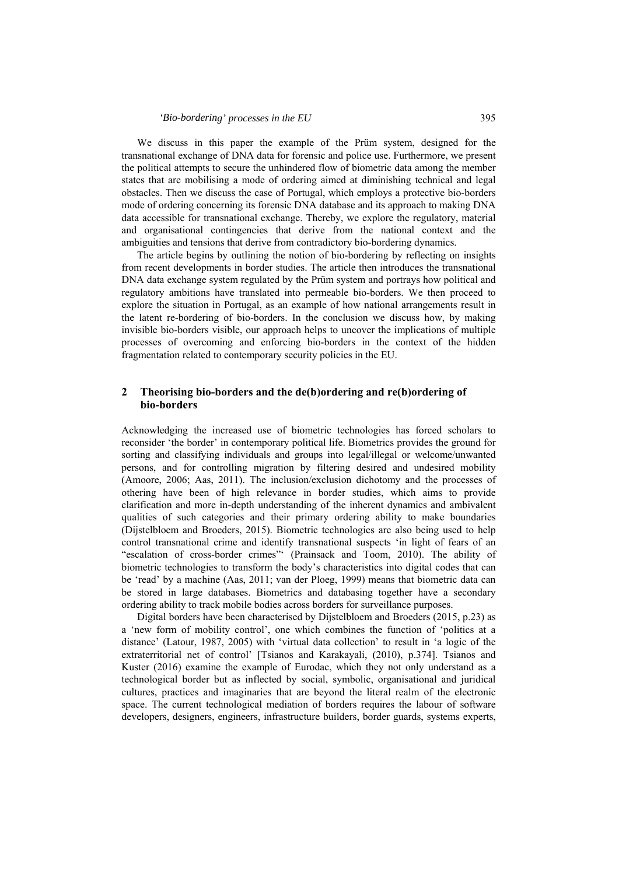We discuss in this paper the example of the Prüm system, designed for the transnational exchange of DNA data for forensic and police use. Furthermore, we present the political attempts to secure the unhindered flow of biometric data among the member states that are mobilising a mode of ordering aimed at diminishing technical and legal obstacles. Then we discuss the case of Portugal, which employs a protective bio-borders mode of ordering concerning its forensic DNA database and its approach to making DNA data accessible for transnational exchange. Thereby, we explore the regulatory, material and organisational contingencies that derive from the national context and the ambiguities and tensions that derive from contradictory bio-bordering dynamics.

The article begins by outlining the notion of bio-bordering by reflecting on insights from recent developments in border studies. The article then introduces the transnational DNA data exchange system regulated by the Prüm system and portrays how political and regulatory ambitions have translated into permeable bio-borders. We then proceed to explore the situation in Portugal, as an example of how national arrangements result in the latent re-bordering of bio-borders. In the conclusion we discuss how, by making invisible bio-borders visible, our approach helps to uncover the implications of multiple processes of overcoming and enforcing bio-borders in the context of the hidden fragmentation related to contemporary security policies in the EU.

## **2 Theorising bio-borders and the de(b)ordering and re(b)ordering of bio-borders**

Acknowledging the increased use of biometric technologies has forced scholars to reconsider 'the border' in contemporary political life. Biometrics provides the ground for sorting and classifying individuals and groups into legal/illegal or welcome/unwanted persons, and for controlling migration by filtering desired and undesired mobility (Amoore, 2006; Aas, 2011). The inclusion/exclusion dichotomy and the processes of othering have been of high relevance in border studies, which aims to provide clarification and more in-depth understanding of the inherent dynamics and ambivalent qualities of such categories and their primary ordering ability to make boundaries (Dijstelbloem and Broeders, 2015). Biometric technologies are also being used to help control transnational crime and identify transnational suspects 'in light of fears of an "escalation of cross-border crimes"' (Prainsack and Toom, 2010). The ability of biometric technologies to transform the body's characteristics into digital codes that can be 'read' by a machine (Aas, 2011; van der Ploeg, 1999) means that biometric data can be stored in large databases. Biometrics and databasing together have a secondary ordering ability to track mobile bodies across borders for surveillance purposes.

Digital borders have been characterised by Dijstelbloem and Broeders (2015, p.23) as a 'new form of mobility control', one which combines the function of 'politics at a distance' (Latour, 1987, 2005) with 'virtual data collection' to result in 'a logic of the extraterritorial net of control' [Tsianos and Karakayali, (2010), p.374]. Tsianos and Kuster (2016) examine the example of Eurodac, which they not only understand as a technological border but as inflected by social, symbolic, organisational and juridical cultures, practices and imaginaries that are beyond the literal realm of the electronic space. The current technological mediation of borders requires the labour of software developers, designers, engineers, infrastructure builders, border guards, systems experts,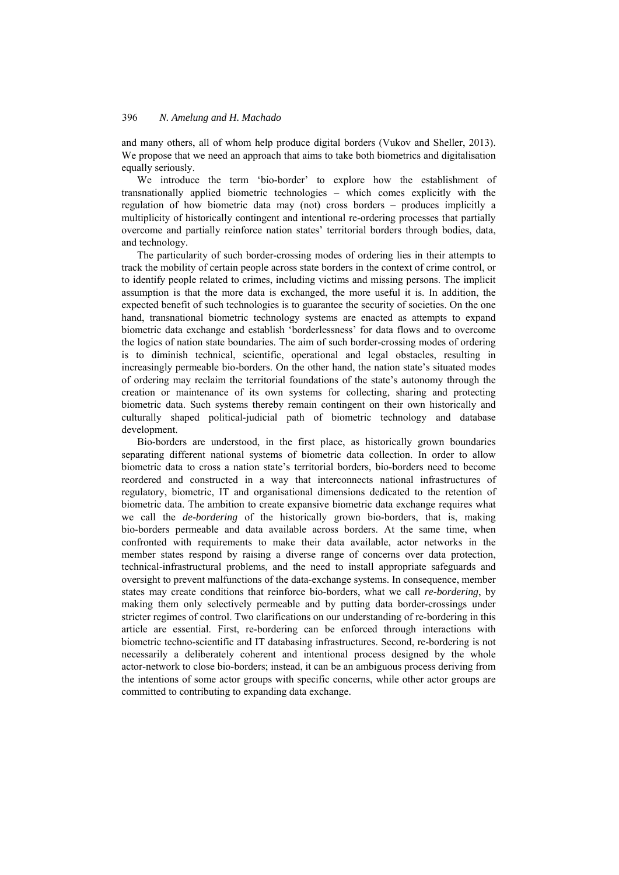and many others, all of whom help produce digital borders (Vukov and Sheller, 2013). We propose that we need an approach that aims to take both biometrics and digitalisation equally seriously.

We introduce the term 'bio-border' to explore how the establishment of transnationally applied biometric technologies – which comes explicitly with the regulation of how biometric data may (not) cross borders – produces implicitly a multiplicity of historically contingent and intentional re-ordering processes that partially overcome and partially reinforce nation states' territorial borders through bodies, data, and technology.

The particularity of such border-crossing modes of ordering lies in their attempts to track the mobility of certain people across state borders in the context of crime control, or to identify people related to crimes, including victims and missing persons. The implicit assumption is that the more data is exchanged, the more useful it is. In addition, the expected benefit of such technologies is to guarantee the security of societies. On the one hand, transnational biometric technology systems are enacted as attempts to expand biometric data exchange and establish 'borderlessness' for data flows and to overcome the logics of nation state boundaries. The aim of such border-crossing modes of ordering is to diminish technical, scientific, operational and legal obstacles, resulting in increasingly permeable bio-borders. On the other hand, the nation state's situated modes of ordering may reclaim the territorial foundations of the state's autonomy through the creation or maintenance of its own systems for collecting, sharing and protecting biometric data. Such systems thereby remain contingent on their own historically and culturally shaped political-judicial path of biometric technology and database development.

Bio-borders are understood, in the first place, as historically grown boundaries separating different national systems of biometric data collection. In order to allow biometric data to cross a nation state's territorial borders, bio-borders need to become reordered and constructed in a way that interconnects national infrastructures of regulatory, biometric, IT and organisational dimensions dedicated to the retention of biometric data. The ambition to create expansive biometric data exchange requires what we call the *de-bordering* of the historically grown bio-borders, that is, making bio-borders permeable and data available across borders. At the same time, when confronted with requirements to make their data available, actor networks in the member states respond by raising a diverse range of concerns over data protection, technical-infrastructural problems, and the need to install appropriate safeguards and oversight to prevent malfunctions of the data-exchange systems. In consequence, member states may create conditions that reinforce bio-borders, what we call *re-bordering*, by making them only selectively permeable and by putting data border-crossings under stricter regimes of control. Two clarifications on our understanding of re-bordering in this article are essential. First, re-bordering can be enforced through interactions with biometric techno-scientific and IT databasing infrastructures. Second, re-bordering is not necessarily a deliberately coherent and intentional process designed by the whole actor-network to close bio-borders; instead, it can be an ambiguous process deriving from the intentions of some actor groups with specific concerns, while other actor groups are committed to contributing to expanding data exchange.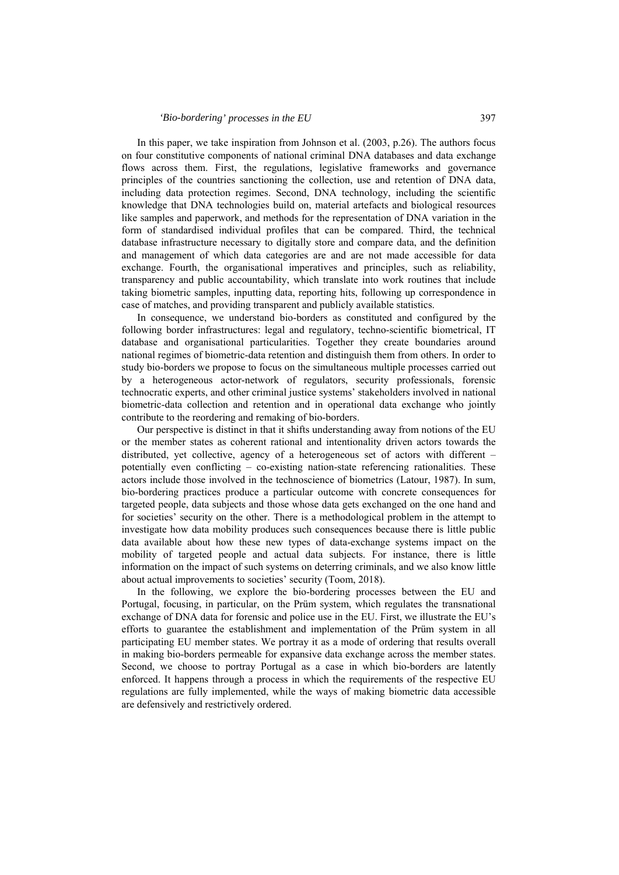In this paper, we take inspiration from Johnson et al. (2003, p.26). The authors focus on four constitutive components of national criminal DNA databases and data exchange flows across them. First, the regulations, legislative frameworks and governance principles of the countries sanctioning the collection, use and retention of DNA data, including data protection regimes. Second, DNA technology, including the scientific knowledge that DNA technologies build on, material artefacts and biological resources like samples and paperwork, and methods for the representation of DNA variation in the form of standardised individual profiles that can be compared. Third, the technical database infrastructure necessary to digitally store and compare data, and the definition and management of which data categories are and are not made accessible for data exchange. Fourth, the organisational imperatives and principles, such as reliability, transparency and public accountability, which translate into work routines that include taking biometric samples, inputting data, reporting hits, following up correspondence in case of matches, and providing transparent and publicly available statistics.

In consequence, we understand bio-borders as constituted and configured by the following border infrastructures: legal and regulatory, techno-scientific biometrical, IT database and organisational particularities. Together they create boundaries around national regimes of biometric-data retention and distinguish them from others. In order to study bio-borders we propose to focus on the simultaneous multiple processes carried out by a heterogeneous actor-network of regulators, security professionals, forensic technocratic experts, and other criminal justice systems' stakeholders involved in national biometric-data collection and retention and in operational data exchange who jointly contribute to the reordering and remaking of bio-borders.

Our perspective is distinct in that it shifts understanding away from notions of the EU or the member states as coherent rational and intentionality driven actors towards the distributed, yet collective, agency of a heterogeneous set of actors with different – potentially even conflicting – co-existing nation-state referencing rationalities. These actors include those involved in the technoscience of biometrics (Latour, 1987). In sum, bio-bordering practices produce a particular outcome with concrete consequences for targeted people, data subjects and those whose data gets exchanged on the one hand and for societies' security on the other. There is a methodological problem in the attempt to investigate how data mobility produces such consequences because there is little public data available about how these new types of data-exchange systems impact on the mobility of targeted people and actual data subjects. For instance, there is little information on the impact of such systems on deterring criminals, and we also know little about actual improvements to societies' security (Toom, 2018).

In the following, we explore the bio-bordering processes between the EU and Portugal, focusing, in particular, on the Prüm system, which regulates the transnational exchange of DNA data for forensic and police use in the EU. First, we illustrate the EU's efforts to guarantee the establishment and implementation of the Prüm system in all participating EU member states. We portray it as a mode of ordering that results overall in making bio-borders permeable for expansive data exchange across the member states. Second, we choose to portray Portugal as a case in which bio-borders are latently enforced. It happens through a process in which the requirements of the respective EU regulations are fully implemented, while the ways of making biometric data accessible are defensively and restrictively ordered.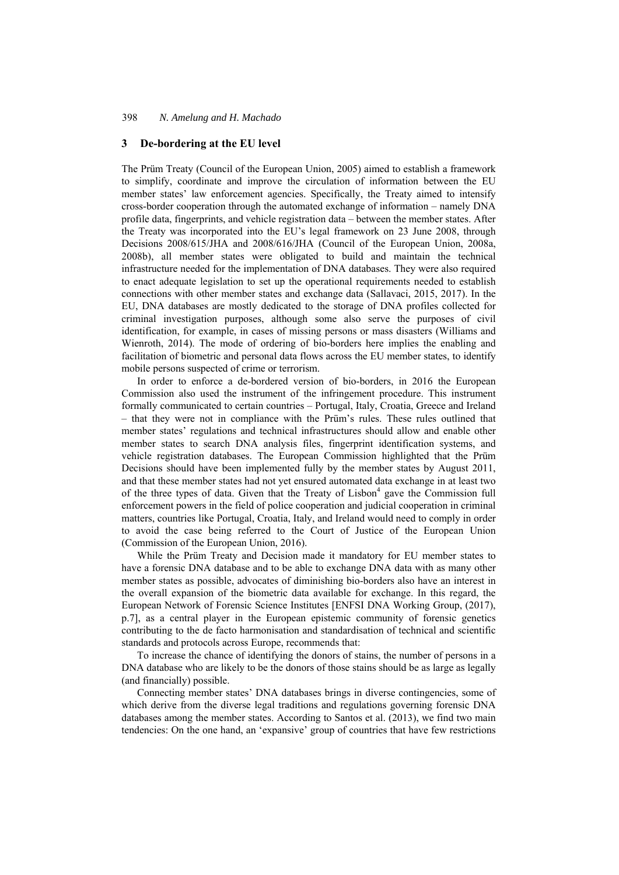#### **3 De-bordering at the EU level**

The Prüm Treaty (Council of the European Union, 2005) aimed to establish a framework to simplify, coordinate and improve the circulation of information between the EU member states' law enforcement agencies. Specifically, the Treaty aimed to intensify cross-border cooperation through the automated exchange of information – namely DNA profile data, fingerprints, and vehicle registration data – between the member states. After the Treaty was incorporated into the EU's legal framework on 23 June 2008, through Decisions 2008/615/JHA and 2008/616/JHA (Council of the European Union, 2008a, 2008b), all member states were obligated to build and maintain the technical infrastructure needed for the implementation of DNA databases. They were also required to enact adequate legislation to set up the operational requirements needed to establish connections with other member states and exchange data (Sallavaci, 2015, 2017). In the EU, DNA databases are mostly dedicated to the storage of DNA profiles collected for criminal investigation purposes, although some also serve the purposes of civil identification, for example, in cases of missing persons or mass disasters (Williams and Wienroth, 2014). The mode of ordering of bio-borders here implies the enabling and facilitation of biometric and personal data flows across the EU member states, to identify mobile persons suspected of crime or terrorism.

In order to enforce a de-bordered version of bio-borders, in 2016 the European Commission also used the instrument of the infringement procedure. This instrument formally communicated to certain countries – Portugal, Italy, Croatia, Greece and Ireland – that they were not in compliance with the Prüm's rules. These rules outlined that member states' regulations and technical infrastructures should allow and enable other member states to search DNA analysis files, fingerprint identification systems, and vehicle registration databases. The European Commission highlighted that the Prüm Decisions should have been implemented fully by the member states by August 2011, and that these member states had not yet ensured automated data exchange in at least two of the three types of data. Given that the Treaty of Lisbon<sup>4</sup> gave the Commission full enforcement powers in the field of police cooperation and judicial cooperation in criminal matters, countries like Portugal, Croatia, Italy, and Ireland would need to comply in order to avoid the case being referred to the Court of Justice of the European Union (Commission of the European Union, 2016).

While the Prüm Treaty and Decision made it mandatory for EU member states to have a forensic DNA database and to be able to exchange DNA data with as many other member states as possible, advocates of diminishing bio-borders also have an interest in the overall expansion of the biometric data available for exchange. In this regard, the European Network of Forensic Science Institutes [ENFSI DNA Working Group, (2017), p.7], as a central player in the European epistemic community of forensic genetics contributing to the de facto harmonisation and standardisation of technical and scientific standards and protocols across Europe, recommends that:

To increase the chance of identifying the donors of stains, the number of persons in a DNA database who are likely to be the donors of those stains should be as large as legally (and financially) possible.

Connecting member states' DNA databases brings in diverse contingencies, some of which derive from the diverse legal traditions and regulations governing forensic DNA databases among the member states. According to Santos et al. (2013), we find two main tendencies: On the one hand, an 'expansive' group of countries that have few restrictions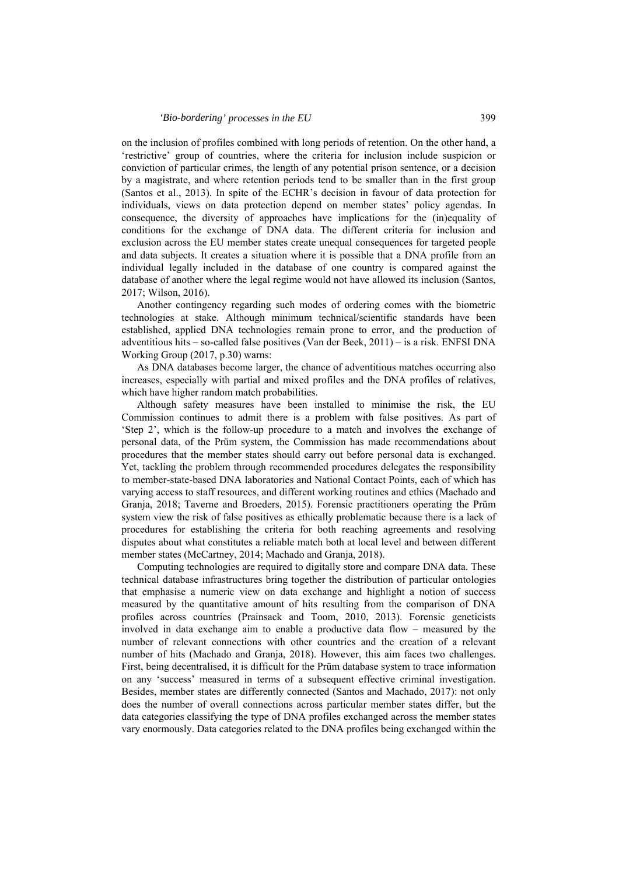on the inclusion of profiles combined with long periods of retention. On the other hand, a 'restrictive' group of countries, where the criteria for inclusion include suspicion or conviction of particular crimes, the length of any potential prison sentence, or a decision by a magistrate, and where retention periods tend to be smaller than in the first group (Santos et al., 2013). In spite of the ECHR's decision in favour of data protection for individuals, views on data protection depend on member states' policy agendas. In consequence, the diversity of approaches have implications for the (in)equality of conditions for the exchange of DNA data. The different criteria for inclusion and exclusion across the EU member states create unequal consequences for targeted people and data subjects. It creates a situation where it is possible that a DNA profile from an individual legally included in the database of one country is compared against the database of another where the legal regime would not have allowed its inclusion (Santos, 2017; Wilson, 2016).

Another contingency regarding such modes of ordering comes with the biometric technologies at stake. Although minimum technical/scientific standards have been established, applied DNA technologies remain prone to error, and the production of adventitious hits – so-called false positives (Van der Beek, 2011) – is a risk. ENFSI DNA Working Group (2017, p.30) warns:

As DNA databases become larger, the chance of adventitious matches occurring also increases, especially with partial and mixed profiles and the DNA profiles of relatives, which have higher random match probabilities.

Although safety measures have been installed to minimise the risk, the EU Commission continues to admit there is a problem with false positives. As part of 'Step 2', which is the follow-up procedure to a match and involves the exchange of personal data, of the Prüm system, the Commission has made recommendations about procedures that the member states should carry out before personal data is exchanged. Yet, tackling the problem through recommended procedures delegates the responsibility to member-state-based DNA laboratories and National Contact Points, each of which has varying access to staff resources, and different working routines and ethics (Machado and Granja, 2018; Taverne and Broeders, 2015). Forensic practitioners operating the Prüm system view the risk of false positives as ethically problematic because there is a lack of procedures for establishing the criteria for both reaching agreements and resolving disputes about what constitutes a reliable match both at local level and between different member states (McCartney, 2014; Machado and Granja, 2018).

Computing technologies are required to digitally store and compare DNA data. These technical database infrastructures bring together the distribution of particular ontologies that emphasise a numeric view on data exchange and highlight a notion of success measured by the quantitative amount of hits resulting from the comparison of DNA profiles across countries (Prainsack and Toom, 2010, 2013). Forensic geneticists involved in data exchange aim to enable a productive data flow – measured by the number of relevant connections with other countries and the creation of a relevant number of hits (Machado and Granja, 2018). However, this aim faces two challenges. First, being decentralised, it is difficult for the Prüm database system to trace information on any 'success' measured in terms of a subsequent effective criminal investigation. Besides, member states are differently connected (Santos and Machado, 2017): not only does the number of overall connections across particular member states differ, but the data categories classifying the type of DNA profiles exchanged across the member states vary enormously. Data categories related to the DNA profiles being exchanged within the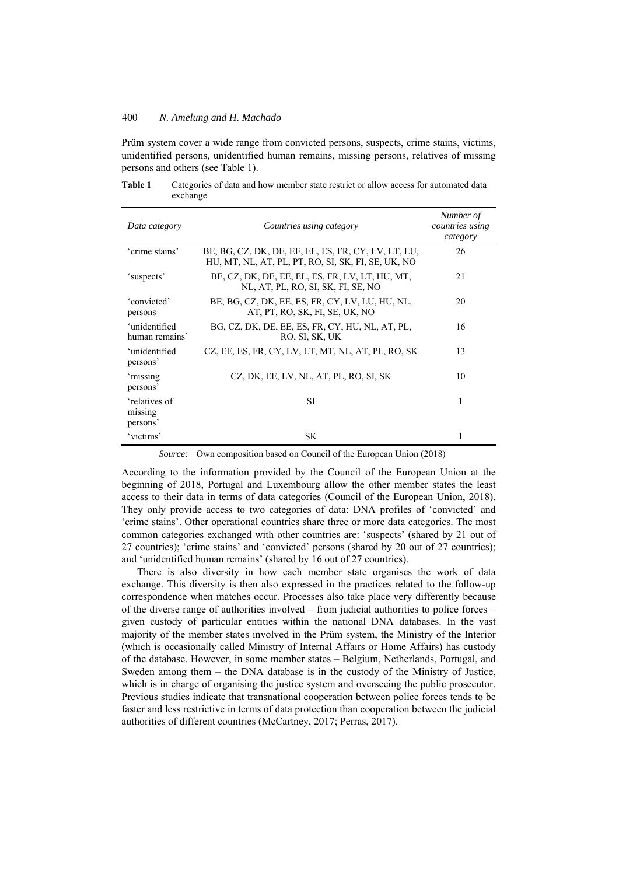Prüm system cover a wide range from convicted persons, suspects, crime stains, victims, unidentified persons, unidentified human remains, missing persons, relatives of missing persons and others (see Table 1).

| Data category                        | Countries using category                                                                                  | Number of<br>countries using<br>category |
|--------------------------------------|-----------------------------------------------------------------------------------------------------------|------------------------------------------|
| 'crime stains'                       | BE, BG, CZ, DK, DE, EE, EL, ES, FR, CY, LV, LT, LU,<br>HU, MT, NL, AT, PL, PT, RO, SI, SK, FI, SE, UK, NO | 26                                       |
| 'suspects'                           | BE, CZ, DK, DE, EE, EL, ES, FR, LV, LT, HU, MT,<br>NL, AT, PL, RO, SI, SK, FI, SE, NO                     | 21                                       |
| 'convicted'<br>persons               | BE, BG, CZ, DK, EE, ES, FR, CY, LV, LU, HU, NL,<br>AT, PT, RO, SK, FI, SE, UK, NO                         | 20                                       |
| 'unidentified<br>human remains'      | BG, CZ, DK, DE, EE, ES, FR, CY, HU, NL, AT, PL,<br>RO, SI, SK, UK                                         | 16                                       |
| 'unidentified<br>persons'            | CZ, EE, ES, FR, CY, LV, LT, MT, NL, AT, PL, RO, SK                                                        | 13                                       |
| 'missing<br>persons'                 | CZ, DK, EE, LV, NL, AT, PL, RO, SI, SK                                                                    | 10                                       |
| 'relatives of<br>missing<br>persons' | SI                                                                                                        | 1                                        |
| 'victims'                            | SK                                                                                                        |                                          |

**Table 1** Categories of data and how member state restrict or allow access for automated data exchange

*Source:* Own composition based on Council of the European Union (2018)

According to the information provided by the Council of the European Union at the beginning of 2018, Portugal and Luxembourg allow the other member states the least access to their data in terms of data categories (Council of the European Union, 2018). They only provide access to two categories of data: DNA profiles of 'convicted' and 'crime stains'. Other operational countries share three or more data categories. The most common categories exchanged with other countries are: 'suspects' (shared by 21 out of 27 countries); 'crime stains' and 'convicted' persons (shared by 20 out of 27 countries); and 'unidentified human remains' (shared by 16 out of 27 countries).

There is also diversity in how each member state organises the work of data exchange. This diversity is then also expressed in the practices related to the follow-up correspondence when matches occur. Processes also take place very differently because of the diverse range of authorities involved – from judicial authorities to police forces – given custody of particular entities within the national DNA databases. In the vast majority of the member states involved in the Prüm system, the Ministry of the Interior (which is occasionally called Ministry of Internal Affairs or Home Affairs) has custody of the database. However, in some member states – Belgium, Netherlands, Portugal, and Sweden among them – the DNA database is in the custody of the Ministry of Justice, which is in charge of organising the justice system and overseeing the public prosecutor. Previous studies indicate that transnational cooperation between police forces tends to be faster and less restrictive in terms of data protection than cooperation between the judicial authorities of different countries (McCartney, 2017; Perras, 2017).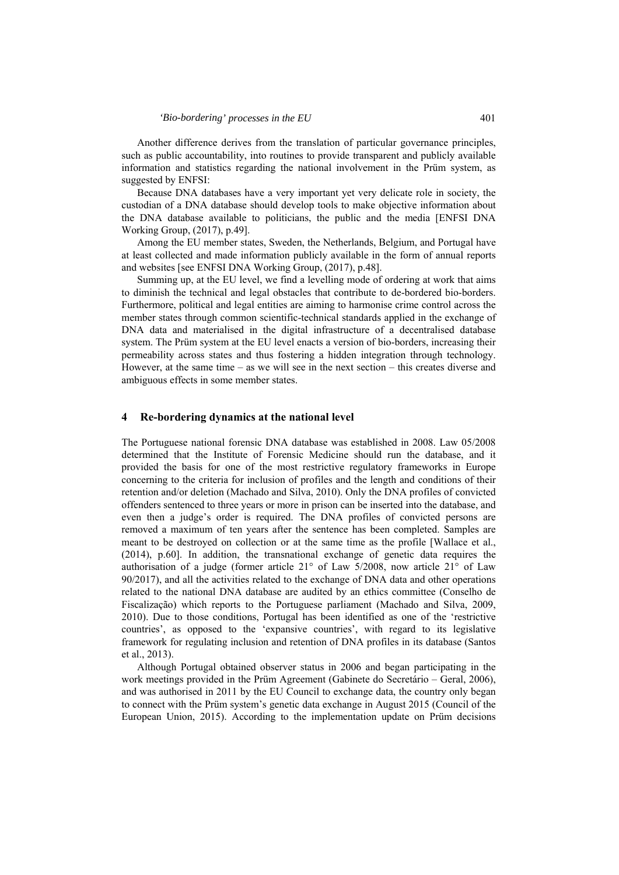Another difference derives from the translation of particular governance principles, such as public accountability, into routines to provide transparent and publicly available information and statistics regarding the national involvement in the Prüm system, as suggested by ENFSI:

Because DNA databases have a very important yet very delicate role in society, the custodian of a DNA database should develop tools to make objective information about the DNA database available to politicians, the public and the media [ENFSI DNA Working Group, (2017), p.49].

Among the EU member states, Sweden, the Netherlands, Belgium, and Portugal have at least collected and made information publicly available in the form of annual reports and websites [see ENFSI DNA Working Group, (2017), p.48].

Summing up, at the EU level, we find a levelling mode of ordering at work that aims to diminish the technical and legal obstacles that contribute to de-bordered bio-borders. Furthermore, political and legal entities are aiming to harmonise crime control across the member states through common scientific-technical standards applied in the exchange of DNA data and materialised in the digital infrastructure of a decentralised database system. The Prüm system at the EU level enacts a version of bio-borders, increasing their permeability across states and thus fostering a hidden integration through technology. However, at the same time – as we will see in the next section – this creates diverse and ambiguous effects in some member states.

#### **4 Re-bordering dynamics at the national level**

The Portuguese national forensic DNA database was established in 2008. Law 05/2008 determined that the Institute of Forensic Medicine should run the database, and it provided the basis for one of the most restrictive regulatory frameworks in Europe concerning to the criteria for inclusion of profiles and the length and conditions of their retention and/or deletion (Machado and Silva, 2010). Only the DNA profiles of convicted offenders sentenced to three years or more in prison can be inserted into the database, and even then a judge's order is required. The DNA profiles of convicted persons are removed a maximum of ten years after the sentence has been completed. Samples are meant to be destroyed on collection or at the same time as the profile [Wallace et al., (2014), p.60]. In addition, the transnational exchange of genetic data requires the authorisation of a judge (former article 21° of Law 5/2008, now article 21° of Law 90/2017), and all the activities related to the exchange of DNA data and other operations related to the national DNA database are audited by an ethics committee (Conselho de Fiscalização) which reports to the Portuguese parliament (Machado and Silva, 2009, 2010). Due to those conditions, Portugal has been identified as one of the 'restrictive countries', as opposed to the 'expansive countries', with regard to its legislative framework for regulating inclusion and retention of DNA profiles in its database (Santos et al., 2013).

Although Portugal obtained observer status in 2006 and began participating in the work meetings provided in the Prüm Agreement (Gabinete do Secretário – Geral, 2006), and was authorised in 2011 by the EU Council to exchange data, the country only began to connect with the Prüm system's genetic data exchange in August 2015 (Council of the European Union, 2015). According to the implementation update on Prüm decisions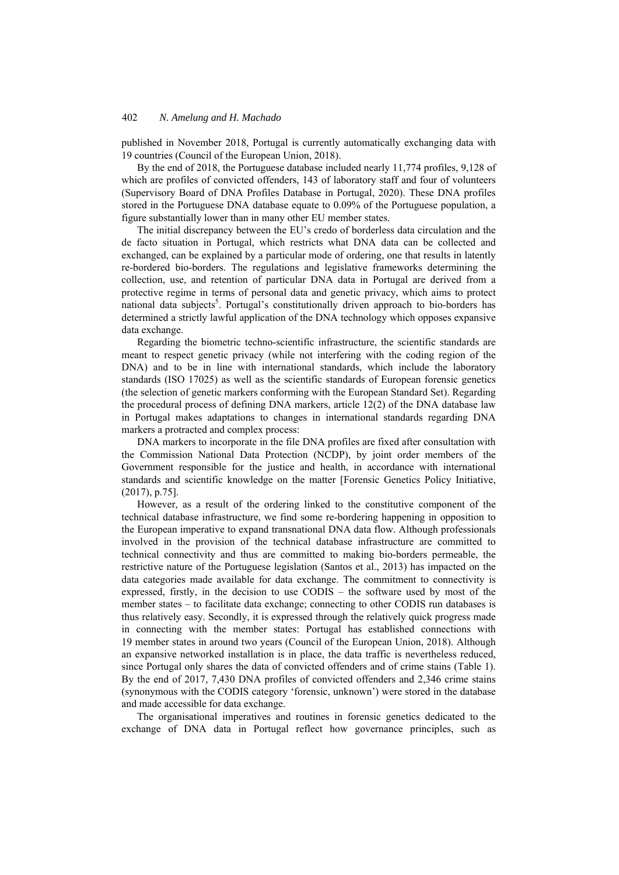published in November 2018, Portugal is currently automatically exchanging data with 19 countries (Council of the European Union, 2018).

By the end of 2018, the Portuguese database included nearly 11,774 profiles, 9,128 of which are profiles of convicted offenders, 143 of laboratory staff and four of volunteers (Supervisory Board of DNA Profiles Database in Portugal, 2020). These DNA profiles stored in the Portuguese DNA database equate to 0.09% of the Portuguese population, a figure substantially lower than in many other EU member states.

The initial discrepancy between the EU's credo of borderless data circulation and the de facto situation in Portugal, which restricts what DNA data can be collected and exchanged, can be explained by a particular mode of ordering, one that results in latently re-bordered bio-borders. The regulations and legislative frameworks determining the collection, use, and retention of particular DNA data in Portugal are derived from a protective regime in terms of personal data and genetic privacy, which aims to protect national data subjects<sup>5</sup>. Portugal's constitutionally driven approach to bio-borders has determined a strictly lawful application of the DNA technology which opposes expansive data exchange.

Regarding the biometric techno-scientific infrastructure, the scientific standards are meant to respect genetic privacy (while not interfering with the coding region of the DNA) and to be in line with international standards, which include the laboratory standards (ISO 17025) as well as the scientific standards of European forensic genetics (the selection of genetic markers conforming with the European Standard Set). Regarding the procedural process of defining DNA markers, article 12(2) of the DNA database law in Portugal makes adaptations to changes in international standards regarding DNA markers a protracted and complex process:

DNA markers to incorporate in the file DNA profiles are fixed after consultation with the Commission National Data Protection (NCDP), by joint order members of the Government responsible for the justice and health, in accordance with international standards and scientific knowledge on the matter [Forensic Genetics Policy Initiative, (2017), p.75].

However, as a result of the ordering linked to the constitutive component of the technical database infrastructure, we find some re-bordering happening in opposition to the European imperative to expand transnational DNA data flow. Although professionals involved in the provision of the technical database infrastructure are committed to technical connectivity and thus are committed to making bio-borders permeable, the restrictive nature of the Portuguese legislation (Santos et al., 2013) has impacted on the data categories made available for data exchange. The commitment to connectivity is expressed, firstly, in the decision to use CODIS – the software used by most of the member states – to facilitate data exchange; connecting to other CODIS run databases is thus relatively easy. Secondly, it is expressed through the relatively quick progress made in connecting with the member states: Portugal has established connections with 19 member states in around two years (Council of the European Union, 2018). Although an expansive networked installation is in place, the data traffic is nevertheless reduced, since Portugal only shares the data of convicted offenders and of crime stains (Table 1). By the end of 2017, 7,430 DNA profiles of convicted offenders and 2,346 crime stains (synonymous with the CODIS category 'forensic, unknown') were stored in the database and made accessible for data exchange.

The organisational imperatives and routines in forensic genetics dedicated to the exchange of DNA data in Portugal reflect how governance principles, such as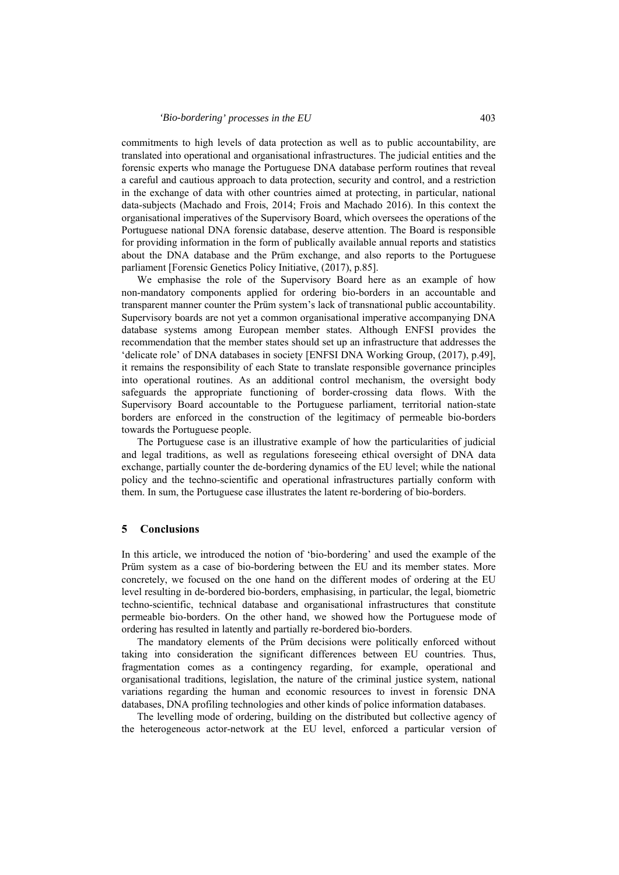commitments to high levels of data protection as well as to public accountability, are translated into operational and organisational infrastructures. The judicial entities and the forensic experts who manage the Portuguese DNA database perform routines that reveal a careful and cautious approach to data protection, security and control, and a restriction in the exchange of data with other countries aimed at protecting, in particular, national data-subjects (Machado and Frois, 2014; Frois and Machado 2016). In this context the organisational imperatives of the Supervisory Board, which oversees the operations of the Portuguese national DNA forensic database, deserve attention. The Board is responsible for providing information in the form of publically available annual reports and statistics about the DNA database and the Prüm exchange, and also reports to the Portuguese parliament [Forensic Genetics Policy Initiative, (2017), p.85].

We emphasise the role of the Supervisory Board here as an example of how non-mandatory components applied for ordering bio-borders in an accountable and transparent manner counter the Prüm system's lack of transnational public accountability. Supervisory boards are not yet a common organisational imperative accompanying DNA database systems among European member states. Although ENFSI provides the recommendation that the member states should set up an infrastructure that addresses the 'delicate role' of DNA databases in society [ENFSI DNA Working Group, (2017), p.49], it remains the responsibility of each State to translate responsible governance principles into operational routines. As an additional control mechanism, the oversight body safeguards the appropriate functioning of border-crossing data flows. With the Supervisory Board accountable to the Portuguese parliament, territorial nation-state borders are enforced in the construction of the legitimacy of permeable bio-borders towards the Portuguese people.

The Portuguese case is an illustrative example of how the particularities of judicial and legal traditions, as well as regulations foreseeing ethical oversight of DNA data exchange, partially counter the de-bordering dynamics of the EU level; while the national policy and the techno-scientific and operational infrastructures partially conform with them. In sum, the Portuguese case illustrates the latent re-bordering of bio-borders.

## **5 Conclusions**

In this article, we introduced the notion of 'bio-bordering' and used the example of the Prüm system as a case of bio-bordering between the EU and its member states. More concretely, we focused on the one hand on the different modes of ordering at the EU level resulting in de-bordered bio-borders, emphasising, in particular, the legal, biometric techno-scientific, technical database and organisational infrastructures that constitute permeable bio-borders. On the other hand, we showed how the Portuguese mode of ordering has resulted in latently and partially re-bordered bio-borders.

The mandatory elements of the Prüm decisions were politically enforced without taking into consideration the significant differences between EU countries. Thus, fragmentation comes as a contingency regarding, for example, operational and organisational traditions, legislation, the nature of the criminal justice system, national variations regarding the human and economic resources to invest in forensic DNA databases, DNA profiling technologies and other kinds of police information databases.

The levelling mode of ordering, building on the distributed but collective agency of the heterogeneous actor-network at the EU level, enforced a particular version of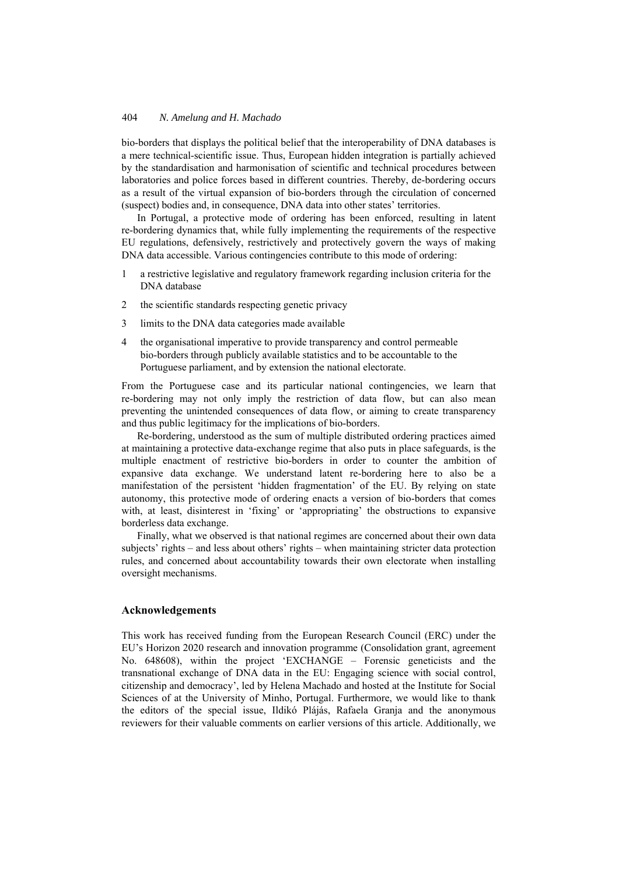bio-borders that displays the political belief that the interoperability of DNA databases is a mere technical-scientific issue. Thus, European hidden integration is partially achieved by the standardisation and harmonisation of scientific and technical procedures between laboratories and police forces based in different countries. Thereby, de-bordering occurs as a result of the virtual expansion of bio-borders through the circulation of concerned (suspect) bodies and, in consequence, DNA data into other states' territories.

In Portugal, a protective mode of ordering has been enforced, resulting in latent re-bordering dynamics that, while fully implementing the requirements of the respective EU regulations, defensively, restrictively and protectively govern the ways of making DNA data accessible. Various contingencies contribute to this mode of ordering:

- 1 a restrictive legislative and regulatory framework regarding inclusion criteria for the DNA database
- 2 the scientific standards respecting genetic privacy
- 3 limits to the DNA data categories made available
- 4 the organisational imperative to provide transparency and control permeable bio-borders through publicly available statistics and to be accountable to the Portuguese parliament, and by extension the national electorate.

From the Portuguese case and its particular national contingencies, we learn that re-bordering may not only imply the restriction of data flow, but can also mean preventing the unintended consequences of data flow, or aiming to create transparency and thus public legitimacy for the implications of bio-borders.

Re-bordering, understood as the sum of multiple distributed ordering practices aimed at maintaining a protective data-exchange regime that also puts in place safeguards, is the multiple enactment of restrictive bio-borders in order to counter the ambition of expansive data exchange. We understand latent re-bordering here to also be a manifestation of the persistent 'hidden fragmentation' of the EU. By relying on state autonomy, this protective mode of ordering enacts a version of bio-borders that comes with, at least, disinterest in 'fixing' or 'appropriating' the obstructions to expansive borderless data exchange.

Finally, what we observed is that national regimes are concerned about their own data subjects' rights – and less about others' rights – when maintaining stricter data protection rules, and concerned about accountability towards their own electorate when installing oversight mechanisms.

### **Acknowledgements**

This work has received funding from the European Research Council (ERC) under the EU's Horizon 2020 research and innovation programme (Consolidation grant, agreement No. 648608), within the project 'EXCHANGE – Forensic geneticists and the transnational exchange of DNA data in the EU: Engaging science with social control, citizenship and democracy', led by Helena Machado and hosted at the Institute for Social Sciences of at the University of Minho, Portugal. Furthermore, we would like to thank the editors of the special issue, Ildikó Plájás, Rafaela Granja and the anonymous reviewers for their valuable comments on earlier versions of this article. Additionally, we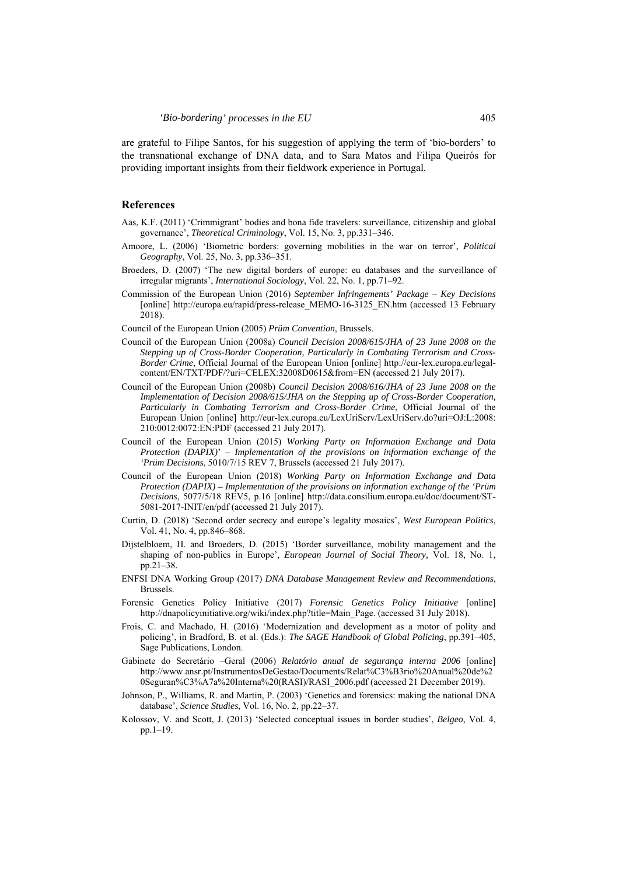are grateful to Filipe Santos, for his suggestion of applying the term of 'bio-borders' to the transnational exchange of DNA data, and to Sara Matos and Filipa Queirós for providing important insights from their fieldwork experience in Portugal.

## **References**

- Aas, K.F. (2011) 'Crimmigrant' bodies and bona fide travelers: surveillance, citizenship and global governance', *Theoretical Criminology*, Vol. 15, No. 3, pp.331–346.
- Amoore, L. (2006) 'Biometric borders: governing mobilities in the war on terror', *Political Geography*, Vol. 25, No. 3, pp.336–351.
- Broeders, D. (2007) 'The new digital borders of europe: eu databases and the surveillance of irregular migrants', *International Sociology*, Vol. 22, No. 1, pp.71–92.
- Commission of the European Union (2016) *September Infringements' Package Key Decisions* [online] http://europa.eu/rapid/press-release\_MEMO-16-3125\_EN.htm (accessed 13 February 2018).
- Council of the European Union (2005) *Prüm Convention*, Brussels.
- Council of the European Union (2008a) *Council Decision 2008/615/JHA of 23 June 2008 on the Stepping up of Cross-Border Cooperation, Particularly in Combating Terrorism and Cross-Border Crime*, Official Journal of the European Union [online] http://eur-lex.europa.eu/legalcontent/EN/TXT/PDF/?uri=CELEX:32008D0615&from=EN (accessed 21 July 2017).
- Council of the European Union (2008b) *Council Decision 2008/616/JHA of 23 June 2008 on the Implementation of Decision 2008/615/JHA on the Stepping up of Cross-Border Cooperation, Particularly in Combating Terrorism and Cross-Border Crime*, Official Journal of the European Union [online] http://eur-lex.europa.eu/LexUriServ/LexUriServ.do?uri=OJ:L:2008: 210:0012:0072:EN:PDF (accessed 21 July 2017).
- Council of the European Union (2015) *Working Party on Information Exchange and Data Protection (DAPIX)*' *– Implementation of the provisions on information exchange of the 'Prüm Decisions*, 5010/7/15 REV 7, Brussels (accessed 21 July 2017).
- Council of the European Union (2018) *Working Party on Information Exchange and Data Protection (DAPIX) – Implementation of the provisions on information exchange of the 'Prüm Decisions*, 5077/5/18 REV5, p.16 [online] http://data.consilium.europa.eu/doc/document/ST-5081-2017-INIT/en/pdf (accessed 21 July 2017).
- Curtin, D. (2018) 'Second order secrecy and europe's legality mosaics', *West European Politics*, Vol. 41, No. 4, pp.846–868.
- Dijstelbloem, H. and Broeders, D. (2015) 'Border surveillance, mobility management and the shaping of non-publics in Europe', *European Journal of Social Theory,* Vol. 18, No. 1, pp.21–38.
- ENFSI DNA Working Group (2017) *DNA Database Management Review and Recommendations*, Brussels.
- Forensic Genetics Policy Initiative (2017) *Forensic Genetics Policy Initiative* [online] http://dnapolicyinitiative.org/wiki/index.php?title=Main\_Page. (accessed 31 July 2018).
- Frois, C. and Machado, H. (2016) 'Modernization and development as a motor of polity and policing', in Bradford, B. et al. (Eds.): *The SAGE Handbook of Global Policing*, pp.391–405, Sage Publications, London.
- Gabinete do Secretário –Geral (2006) *Relatório anual de segurança interna 2006* [online] http://www.ansr.pt/InstrumentosDeGestao/Documents/Relat%C3%B3rio%20Anual%20de%2 0Seguran%C3%A7a%20Interna%20(RASI)/RASI\_2006.pdf (accessed 21 December 2019).
- Johnson, P., Williams, R. and Martin, P. (2003) 'Genetics and forensics: making the national DNA database', *Science Studies*, Vol. 16, No. 2, pp.22–37.
- Kolossov, V. and Scott, J. (2013) 'Selected conceptual issues in border studies', *Belgeo*, Vol. 4, pp.1–19.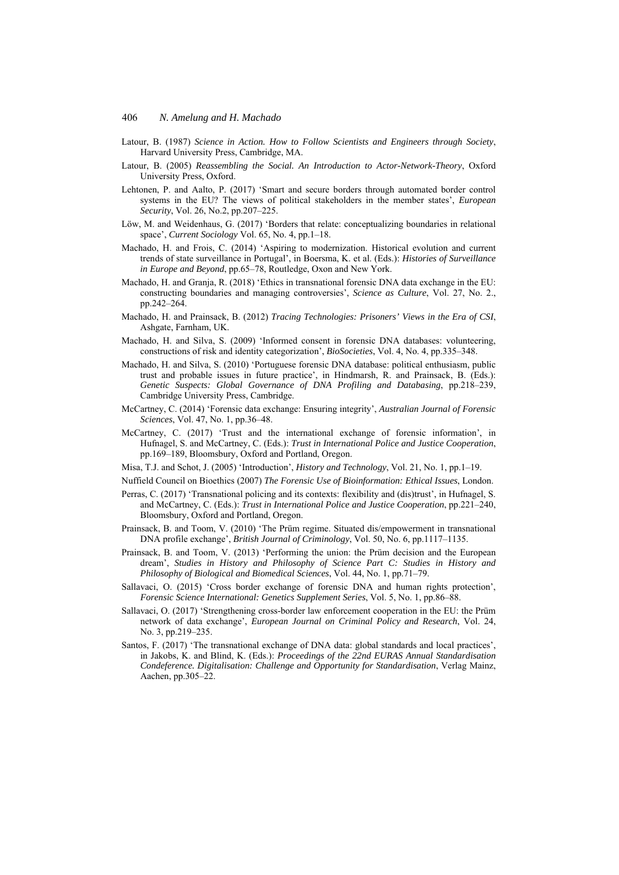- Latour, B. (1987) *Science in Action. How to Follow Scientists and Engineers through Society*, Harvard University Press, Cambridge, MA.
- Latour, B. (2005) *Reassembling the Social. An Introduction to Actor-Network-Theory*, Oxford University Press, Oxford.
- Lehtonen, P. and Aalto, P. (2017) 'Smart and secure borders through automated border control systems in the EU? The views of political stakeholders in the member states', *European Security*, Vol. 26, No.2, pp.207–225.
- Löw, M. and Weidenhaus, G. (2017) 'Borders that relate: conceptualizing boundaries in relational space', *Current Sociology* Vol. 65, No. 4, pp.1–18.
- Machado, H. and Frois, C. (2014) 'Aspiring to modernization. Historical evolution and current trends of state surveillance in Portugal', in Boersma, K. et al. (Eds.): *Histories of Surveillance in Europe and Beyond*, pp.65–78, Routledge, Oxon and New York.
- Machado, H. and Granja, R. (2018) 'Ethics in transnational forensic DNA data exchange in the EU: constructing boundaries and managing controversies', *Science as Culture*, Vol. 27, No. 2., pp.242–264.
- Machado, H. and Prainsack, B. (2012) *Tracing Technologies: Prisoners' Views in the Era of CSI*, Ashgate, Farnham, UK.
- Machado, H. and Silva, S. (2009) 'Informed consent in forensic DNA databases: volunteering, constructions of risk and identity categorization', *BioSocieties*, Vol. 4, No. 4, pp.335–348.
- Machado, H. and Silva, S. (2010) 'Portuguese forensic DNA database: political enthusiasm, public trust and probable issues in future practice', in Hindmarsh, R. and Prainsack, B. (Eds.): *Genetic Suspects: Global Governance of DNA Profiling and Databasing*, pp.218–239, Cambridge University Press, Cambridge.
- McCartney, C. (2014) 'Forensic data exchange: Ensuring integrity', *Australian Journal of Forensic Sciences*, Vol. 47, No. 1, pp.36–48.
- McCartney, C. (2017) 'Trust and the international exchange of forensic information', in Hufnagel, S. and McCartney, C. (Eds.): *Trust in International Police and Justice Cooperation*, pp.169–189, Bloomsbury, Oxford and Portland, Oregon.
- Misa, T.J. and Schot, J. (2005) 'Introduction', *History and Technology*, Vol. 21, No. 1, pp.1–19.
- Nuffield Council on Bioethics (2007) *The Forensic Use of Bioinformation: Ethical Issues*, London.
- Perras, C. (2017) 'Transnational policing and its contexts: flexibility and (dis)trust', in Hufnagel, S. and McCartney, C. (Eds.): *Trust in International Police and Justice Cooperation*, pp.221–240, Bloomsbury, Oxford and Portland, Oregon.
- Prainsack, B. and Toom, V. (2010) 'The Prüm regime. Situated dis/empowerment in transnational DNA profile exchange', *British Journal of Criminology*, Vol. 50, No. 6, pp.1117–1135.
- Prainsack, B. and Toom, V. (2013) 'Performing the union: the Prüm decision and the European dream', *Studies in History and Philosophy of Science Part C: Studies in History and Philosophy of Biological and Biomedical Sciences*, Vol. 44, No. 1, pp.71–79.
- Sallavaci, O. (2015) 'Cross border exchange of forensic DNA and human rights protection', *Forensic Science International: Genetics Supplement Series*, Vol. 5, No. 1, pp.86–88.
- Sallavaci, O. (2017) 'Strengthening cross-border law enforcement cooperation in the EU: the Prüm network of data exchange', *European Journal on Criminal Policy and Research*, Vol. 24, No. 3, pp.219–235.
- Santos, F. (2017) 'The transnational exchange of DNA data: global standards and local practices', in Jakobs, K. and Blind, K. (Eds.): *Proceedings of the 22nd EURAS Annual Standardisation Condeference. Digitalisation: Challenge and Opportunity for Standardisation*, Verlag Mainz, Aachen, pp.305–22.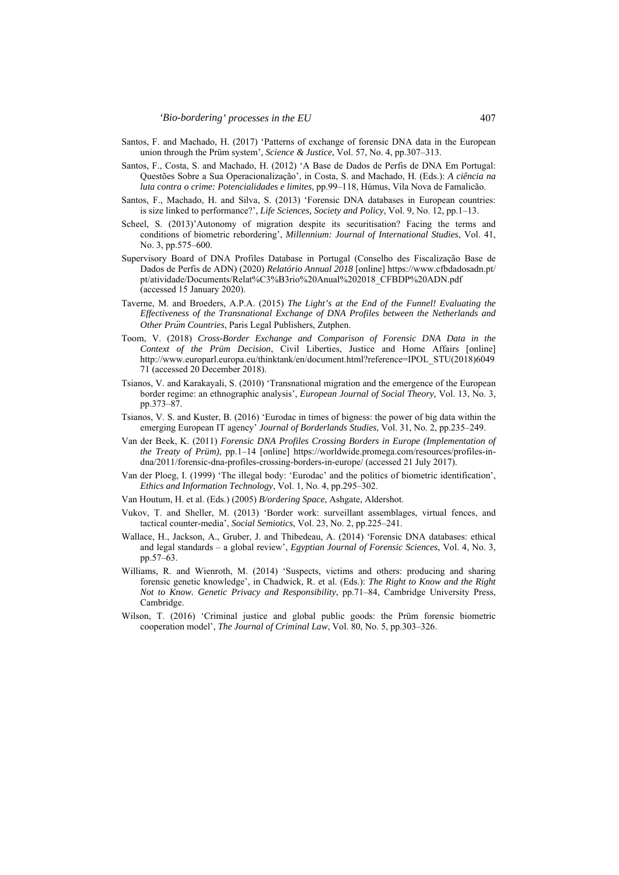- Santos, F. and Machado, H. (2017) 'Patterns of exchange of forensic DNA data in the European union through the Prüm system', *Science & Justice*, Vol. 57, No. 4, pp.307–313.
- Santos, F., Costa, S. and Machado, H. (2012) 'A Base de Dados de Perfis de DNA Em Portugal: Questões Sobre a Sua Operacionalização', in Costa, S. and Machado, H. (Eds.): *A ciência na luta contra o crime: Potencialidades e limites*, pp.99–118, Húmus, Vila Nova de Famalicão.
- Santos, F., Machado, H. and Silva, S. (2013) 'Forensic DNA databases in European countries: is size linked to performance?', *Life Sciences, Society and Policy*, Vol. 9, No. 12, pp.1–13.
- Scheel, S. (2013)'Autonomy of migration despite its securitisation? Facing the terms and conditions of biometric rebordering', *Millennium: Journal of International Studies*, Vol. 41, No. 3, pp.575–600.
- Supervisory Board of DNA Profiles Database in Portugal (Conselho des Fiscalização Base de Dados de Perfis de ADN) (2020) *Relatório Annual 2018* [online] https://www.cfbdadosadn.pt/ pt/atividade/Documents/Relat%C3%B3rio%20Anual%202018\_CFBDP%20ADN.pdf (accessed 15 January 2020).
- Taverne, M. and Broeders, A.P.A. (2015) *The Light's at the End of the Funnel! Evaluating the Effectiveness of the Transnational Exchange of DNA Profiles between the Netherlands and Other Pru*̈*m Countries*, Paris Legal Publishers, Zutphen.
- Toom, V. (2018) *Cross-Border Exchange and Comparison of Forensic DNA Data in the Context of the Prüm Decision*, Civil Liberties, Justice and Home Affairs [online] http://www.europarl.europa.eu/thinktank/en/document.html?reference=IPOL\_STU(2018)6049 71 (accessed 20 December 2018).
- Tsianos, V. and Karakayali, S. (2010) 'Transnational migration and the emergence of the European border regime: an ethnographic analysis', *European Journal of Social Theory,* Vol. 13, No. 3, pp.373–87.
- Tsianos, V. S. and Kuster, B. (2016) 'Eurodac in times of bigness: the power of big data within the emerging European IT agency' *Journal of Borderlands Studies*, Vol. 31, No. 2, pp.235–249.
- Van der Beek, K. (2011) *Forensic DNA Profiles Crossing Borders in Europe (Implementation of the Treaty of Prüm)*, pp.1–14 [online] https://worldwide.promega.com/resources/profiles-indna/2011/forensic-dna-profiles-crossing-borders-in-europe/ (accessed 21 July 2017).
- Van der Ploeg, I. (1999) 'The illegal body: 'Eurodac' and the politics of biometric identification', *Ethics and Information Technology*, Vol. 1, No. 4, pp.295–302.
- Van Houtum, H. et al. (Eds.) (2005) *B/ordering Space*, Ashgate, Aldershot.
- Vukov, T. and Sheller, M. (2013) 'Border work: surveillant assemblages, virtual fences, and tactical counter-media', *Social Semiotics*, Vol. 23, No. 2, pp.225–241.
- Wallace, H., Jackson, A., Gruber, J. and Thibedeau, A. (2014) 'Forensic DNA databases: ethical and legal standards – a global review', *Egyptian Journal of Forensic Sciences*, Vol. 4, No. 3, pp.57–63.
- Williams, R. and Wienroth, M. (2014) 'Suspects, victims and others: producing and sharing forensic genetic knowledge', in Chadwick, R. et al. (Eds.): *The Right to Know and the Right Not to Know. Genetic Privacy and Responsibility*, pp.71–84, Cambridge University Press, Cambridge.
- Wilson, T. (2016) 'Criminal justice and global public goods: the Prüm forensic biometric cooperation model', *The Journal of Criminal Law*, Vol. 80, No. 5, pp.303–326.